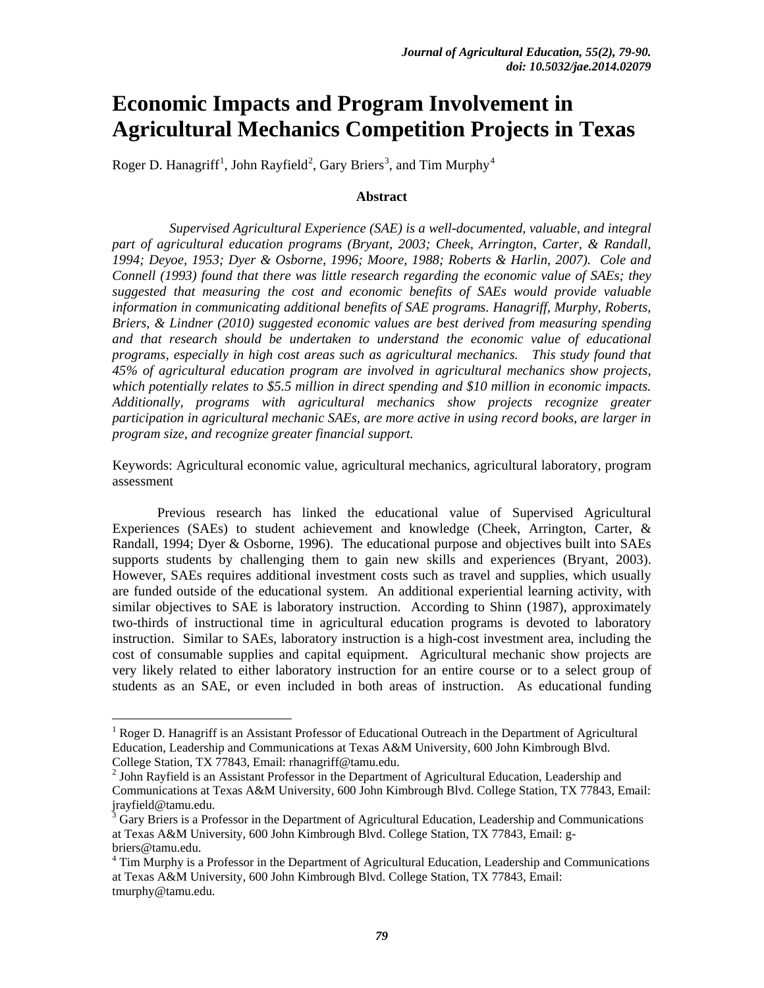# **Economic Impacts and Program Involvement in Agricultural Mechanics Competition Projects in Texas**

Roger D. Hanagriff $^1$  $^1$ , John Rayfield $^2$  $^2$ , Gary Briers $^3$  $^3$ , and Tim Murphy $^4$  $^4$ 

#### **Abstract**

*Supervised Agricultural Experience (SAE) is a well-documented, valuable, and integral part of agricultural education programs (Bryant, 2003; Cheek, Arrington, Carter, & Randall, 1994; Deyoe, 1953; Dyer & Osborne, 1996; Moore, 1988; Roberts & Harlin, 2007). Cole and Connell (1993) found that there was little research regarding the economic value of SAEs; they suggested that measuring the cost and economic benefits of SAEs would provide valuable information in communicating additional benefits of SAE programs. Hanagriff, Murphy, Roberts, Briers, & Lindner (2010) suggested economic values are best derived from measuring spending and that research should be undertaken to understand the economic value of educational programs, especially in high cost areas such as agricultural mechanics. This study found that 45% of agricultural education program are involved in agricultural mechanics show projects, which potentially relates to \$5.5 million in direct spending and \$10 million in economic impacts. Additionally, programs with agricultural mechanics show projects recognize greater participation in agricultural mechanic SAEs, are more active in using record books, are larger in program size, and recognize greater financial support.* 

Keywords: Agricultural economic value, agricultural mechanics, agricultural laboratory, program assessment

Previous research has linked the educational value of Supervised Agricultural Experiences (SAEs) to student achievement and knowledge (Cheek, Arrington, Carter, & Randall, 1994; Dyer & Osborne, 1996). The educational purpose and objectives built into SAEs supports students by challenging them to gain new skills and experiences (Bryant, 2003). However, SAEs requires additional investment costs such as travel and supplies, which usually are funded outside of the educational system. An additional experiential learning activity, with similar objectives to SAE is laboratory instruction. According to Shinn (1987), approximately two-thirds of instructional time in agricultural education programs is devoted to laboratory instruction. Similar to SAEs, laboratory instruction is a high-cost investment area, including the cost of consumable supplies and capital equipment. Agricultural mechanic show projects are very likely related to either laboratory instruction for an entire course or to a select group of students as an SAE, or even included in both areas of instruction. As educational funding

<span id="page-0-0"></span><sup>&</sup>lt;sup>1</sup> Roger D. Hanagriff is an Assistant Professor of Educational Outreach in the Department of Agricultural Education, Leadership and Communications at Texas A&M University, 600 John Kimbrough Blvd. College Station, TX 77843, Email: rhanagriff@tamu.edu.

<span id="page-0-1"></span> $<sup>2</sup>$  John Rayfield is an Assistant Professor in the Department of Agricultural Education, Leadership and</sup> Communications at Texas A&M University, 600 John Kimbrough Blvd. College Station, TX 77843, Email: jrayfield@tamu.edu.

<span id="page-0-2"></span><sup>3</sup> Gary Briers is a Professor in the Department of Agricultural Education, Leadership and Communications at Texas A&M University, 600 John Kimbrough Blvd. College Station, TX 77843, Email: gbriers@tamu.edu.

<span id="page-0-3"></span><sup>&</sup>lt;sup>4</sup> Tim Murphy is a Professor in the Department of Agricultural Education, Leadership and Communications at Texas A&M University, 600 John Kimbrough Blvd. College Station, TX 77843, Email: tmurphy@tamu.edu.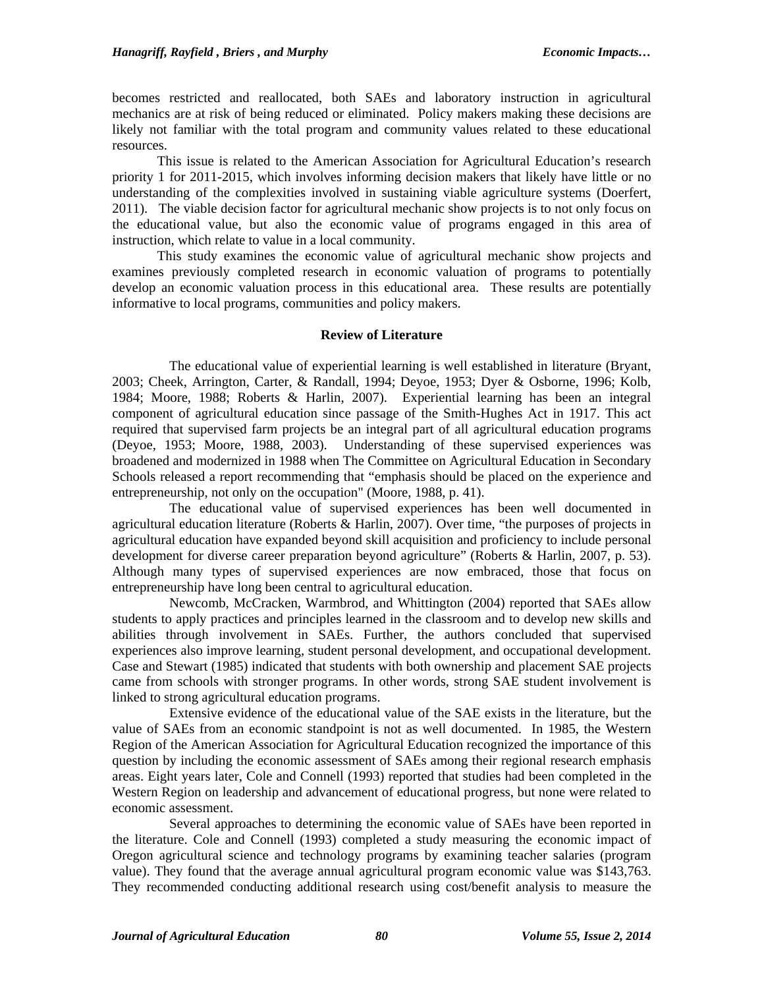becomes restricted and reallocated, both SAEs and laboratory instruction in agricultural mechanics are at risk of being reduced or eliminated. Policy makers making these decisions are likely not familiar with the total program and community values related to these educational resources.

This issue is related to the American Association for Agricultural Education's research priority 1 for 2011-2015, which involves informing decision makers that likely have little or no understanding of the complexities involved in sustaining viable agriculture systems (Doerfert, 2011). The viable decision factor for agricultural mechanic show projects is to not only focus on the educational value, but also the economic value of programs engaged in this area of instruction, which relate to value in a local community.

This study examines the economic value of agricultural mechanic show projects and examines previously completed research in economic valuation of programs to potentially develop an economic valuation process in this educational area. These results are potentially informative to local programs, communities and policy makers.

#### **Review of Literature**

The educational value of experiential learning is well established in literature (Bryant, 2003; Cheek, Arrington, Carter, & Randall, 1994; Deyoe, 1953; Dyer & Osborne, 1996; Kolb, 1984; Moore, 1988; Roberts & Harlin, 2007). Experiential learning has been an integral component of agricultural education since passage of the Smith-Hughes Act in 1917. This act required that supervised farm projects be an integral part of all agricultural education programs (Deyoe, 1953; Moore, 1988, 2003). Understanding of these supervised experiences was broadened and modernized in 1988 when The Committee on Agricultural Education in Secondary Schools released a report recommending that "emphasis should be placed on the experience and entrepreneurship, not only on the occupation" (Moore, 1988, p. 41).

The educational value of supervised experiences has been well documented in agricultural education literature (Roberts & Harlin, 2007). Over time, "the purposes of projects in agricultural education have expanded beyond skill acquisition and proficiency to include personal development for diverse career preparation beyond agriculture" (Roberts & Harlin, 2007, p. 53). Although many types of supervised experiences are now embraced, those that focus on entrepreneurship have long been central to agricultural education.

Newcomb, McCracken, Warmbrod, and Whittington (2004) reported that SAEs allow students to apply practices and principles learned in the classroom and to develop new skills and abilities through involvement in SAEs. Further, the authors concluded that supervised experiences also improve learning, student personal development, and occupational development. Case and Stewart (1985) indicated that students with both ownership and placement SAE projects came from schools with stronger programs. In other words, strong SAE student involvement is linked to strong agricultural education programs.

Extensive evidence of the educational value of the SAE exists in the literature, but the value of SAEs from an economic standpoint is not as well documented. In 1985, the Western Region of the American Association for Agricultural Education recognized the importance of this question by including the economic assessment of SAEs among their regional research emphasis areas. Eight years later, Cole and Connell (1993) reported that studies had been completed in the Western Region on leadership and advancement of educational progress, but none were related to economic assessment.

Several approaches to determining the economic value of SAEs have been reported in the literature. Cole and Connell (1993) completed a study measuring the economic impact of Oregon agricultural science and technology programs by examining teacher salaries (program value). They found that the average annual agricultural program economic value was \$143,763. They recommended conducting additional research using cost/benefit analysis to measure the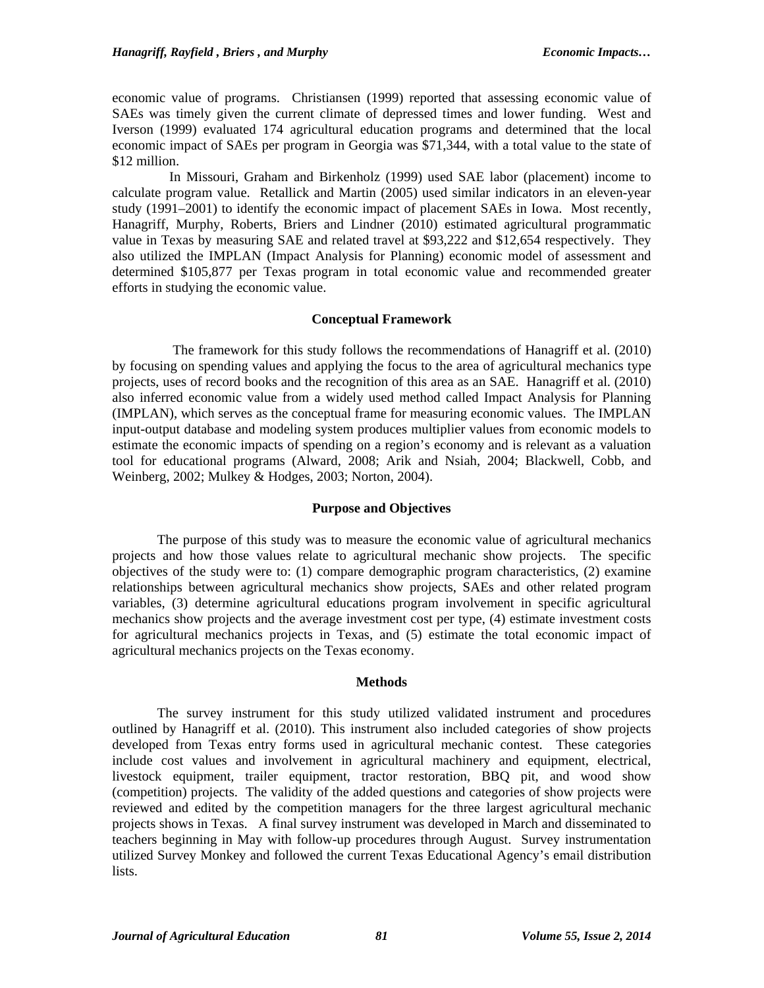economic value of programs. Christiansen (1999) reported that assessing economic value of SAEs was timely given the current climate of depressed times and lower funding. West and Iverson (1999) evaluated 174 agricultural education programs and determined that the local economic impact of SAEs per program in Georgia was \$71,344, with a total value to the state of \$12 million.

In Missouri, Graham and Birkenholz (1999) used SAE labor (placement) income to calculate program value. Retallick and Martin (2005) used similar indicators in an eleven-year study (1991–2001) to identify the economic impact of placement SAEs in Iowa. Most recently, Hanagriff, Murphy, Roberts, Briers and Lindner (2010) estimated agricultural programmatic value in Texas by measuring SAE and related travel at \$93,222 and \$12,654 respectively. They also utilized the IMPLAN (Impact Analysis for Planning) economic model of assessment and determined \$105,877 per Texas program in total economic value and recommended greater efforts in studying the economic value.

# **Conceptual Framework**

The framework for this study follows the recommendations of Hanagriff et al. (2010) by focusing on spending values and applying the focus to the area of agricultural mechanics type projects, uses of record books and the recognition of this area as an SAE. Hanagriff et al. (2010) also inferred economic value from a widely used method called Impact Analysis for Planning (IMPLAN), which serves as the conceptual frame for measuring economic values. The IMPLAN input-output database and modeling system produces multiplier values from economic models to estimate the economic impacts of spending on a region's economy and is relevant as a valuation tool for educational programs (Alward, 2008; Arik and Nsiah, 2004; Blackwell, Cobb, and Weinberg, 2002; Mulkey & Hodges, 2003; Norton, 2004).

# **Purpose and Objectives**

The purpose of this study was to measure the economic value of agricultural mechanics projects and how those values relate to agricultural mechanic show projects. The specific objectives of the study were to: (1) compare demographic program characteristics, (2) examine relationships between agricultural mechanics show projects, SAEs and other related program variables, (3) determine agricultural educations program involvement in specific agricultural mechanics show projects and the average investment cost per type, (4) estimate investment costs for agricultural mechanics projects in Texas, and (5) estimate the total economic impact of agricultural mechanics projects on the Texas economy.

# **Methods**

The survey instrument for this study utilized validated instrument and procedures outlined by Hanagriff et al. (2010). This instrument also included categories of show projects developed from Texas entry forms used in agricultural mechanic contest. These categories include cost values and involvement in agricultural machinery and equipment, electrical, livestock equipment, trailer equipment, tractor restoration, BBQ pit, and wood show (competition) projects. The validity of the added questions and categories of show projects were reviewed and edited by the competition managers for the three largest agricultural mechanic projects shows in Texas. A final survey instrument was developed in March and disseminated to teachers beginning in May with follow-up procedures through August. Survey instrumentation utilized Survey Monkey and followed the current Texas Educational Agency's email distribution lists.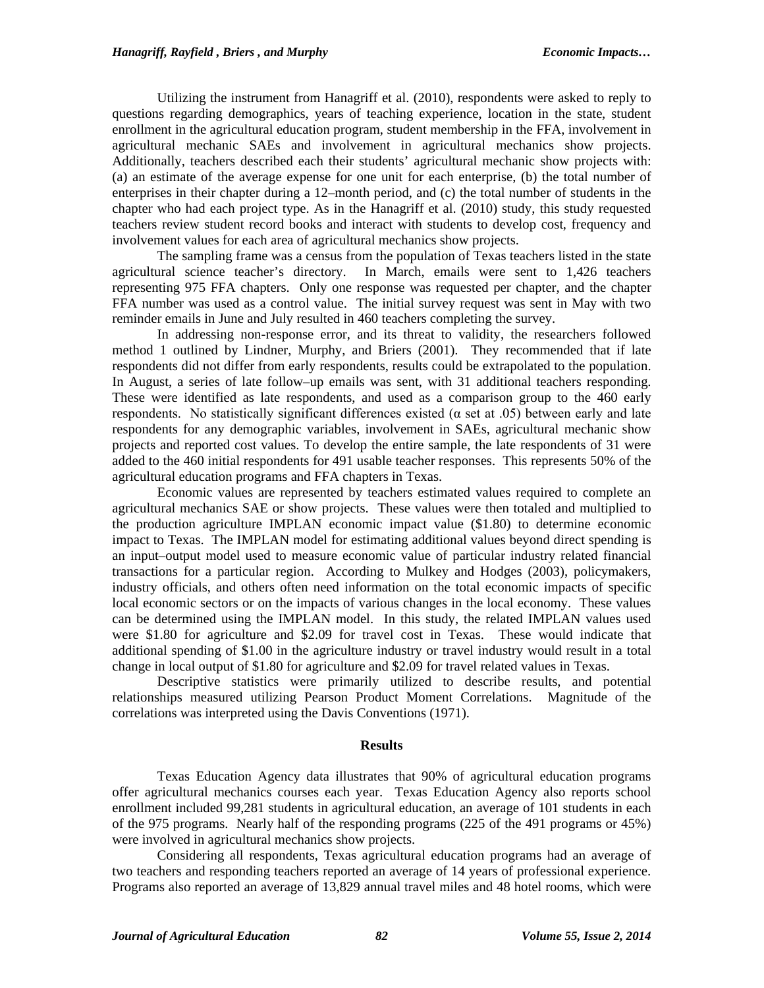Utilizing the instrument from Hanagriff et al. (2010), respondents were asked to reply to questions regarding demographics, years of teaching experience, location in the state, student enrollment in the agricultural education program, student membership in the FFA, involvement in agricultural mechanic SAEs and involvement in agricultural mechanics show projects. Additionally, teachers described each their students' agricultural mechanic show projects with: (a) an estimate of the average expense for one unit for each enterprise, (b) the total number of enterprises in their chapter during a 12–month period, and (c) the total number of students in the chapter who had each project type. As in the Hanagriff et al. (2010) study, this study requested teachers review student record books and interact with students to develop cost, frequency and involvement values for each area of agricultural mechanics show projects.

The sampling frame was a census from the population of Texas teachers listed in the state agricultural science teacher's directory. In March, emails were sent to 1,426 teachers representing 975 FFA chapters. Only one response was requested per chapter, and the chapter FFA number was used as a control value. The initial survey request was sent in May with two reminder emails in June and July resulted in 460 teachers completing the survey.

In addressing non-response error, and its threat to validity, the researchers followed method 1 outlined by Lindner, Murphy, and Briers (2001). They recommended that if late respondents did not differ from early respondents, results could be extrapolated to the population. In August, a series of late follow–up emails was sent, with 31 additional teachers responding. These were identified as late respondents, and used as a comparison group to the 460 early respondents. No statistically significant differences existed ( $\alpha$  set at .05) between early and late respondents for any demographic variables, involvement in SAEs, agricultural mechanic show projects and reported cost values. To develop the entire sample, the late respondents of 31 were added to the 460 initial respondents for 491 usable teacher responses. This represents 50% of the agricultural education programs and FFA chapters in Texas.

Economic values are represented by teachers estimated values required to complete an agricultural mechanics SAE or show projects. These values were then totaled and multiplied to the production agriculture IMPLAN economic impact value (\$1.80) to determine economic impact to Texas. The IMPLAN model for estimating additional values beyond direct spending is an input–output model used to measure economic value of particular industry related financial transactions for a particular region. According to Mulkey and Hodges (2003), policymakers, industry officials, and others often need information on the total economic impacts of specific local economic sectors or on the impacts of various changes in the local economy. These values can be determined using the IMPLAN model. In this study, the related IMPLAN values used were \$1.80 for agriculture and \$2.09 for travel cost in Texas. These would indicate that additional spending of \$1.00 in the agriculture industry or travel industry would result in a total change in local output of \$1.80 for agriculture and \$2.09 for travel related values in Texas.

Descriptive statistics were primarily utilized to describe results, and potential relationships measured utilizing Pearson Product Moment Correlations. Magnitude of the correlations was interpreted using the Davis Conventions (1971).

#### **Results**

Texas Education Agency data illustrates that 90% of agricultural education programs offer agricultural mechanics courses each year. Texas Education Agency also reports school enrollment included 99,281 students in agricultural education, an average of 101 students in each of the 975 programs. Nearly half of the responding programs (225 of the 491 programs or 45%) were involved in agricultural mechanics show projects.

Considering all respondents, Texas agricultural education programs had an average of two teachers and responding teachers reported an average of 14 years of professional experience. Programs also reported an average of 13,829 annual travel miles and 48 hotel rooms, which were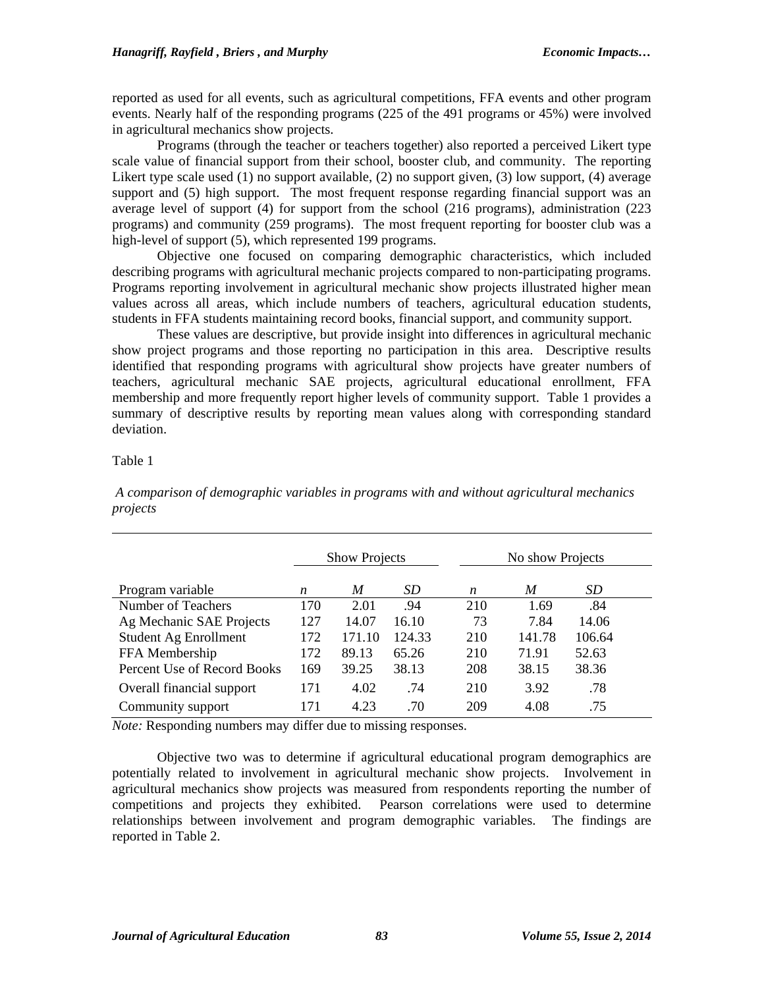reported as used for all events, such as agricultural competitions, FFA events and other program events. Nearly half of the responding programs (225 of the 491 programs or 45%) were involved in agricultural mechanics show projects.

Programs (through the teacher or teachers together) also reported a perceived Likert type scale value of financial support from their school, booster club, and community. The reporting Likert type scale used (1) no support available, (2) no support given, (3) low support, (4) average support and (5) high support. The most frequent response regarding financial support was an average level of support (4) for support from the school (216 programs), administration (223 programs) and community (259 programs). The most frequent reporting for booster club was a high-level of support (5), which represented 199 programs.

Objective one focused on comparing demographic characteristics, which included describing programs with agricultural mechanic projects compared to non-participating programs. Programs reporting involvement in agricultural mechanic show projects illustrated higher mean values across all areas, which include numbers of teachers, agricultural education students, students in FFA students maintaining record books, financial support, and community support.

These values are descriptive, but provide insight into differences in agricultural mechanic show project programs and those reporting no participation in this area. Descriptive results identified that responding programs with agricultural show projects have greater numbers of teachers, agricultural mechanic SAE projects, agricultural educational enrollment, FFA membership and more frequently report higher levels of community support. Table 1 provides a summary of descriptive results by reporting mean values along with corresponding standard deviation.

# Table 1

*A comparison of demographic variables in programs with and without agricultural mechanics projects*

|                             | <b>Show Projects</b> |        |        |     | No show Projects |           |  |
|-----------------------------|----------------------|--------|--------|-----|------------------|-----------|--|
| Program variable            | n                    | M      | SD.    | n   | M                | <i>SD</i> |  |
| Number of Teachers          | 170                  | 2.01   | .94    | 210 | 1.69             | .84       |  |
| Ag Mechanic SAE Projects    | 127                  | 14.07  | 16.10  | 73  | 7.84             | 14.06     |  |
| Student Ag Enrollment       | 172                  | 171.10 | 124.33 | 210 | 141.78           | 106.64    |  |
| FFA Membership              | 172                  | 89.13  | 65.26  | 210 | 71.91            | 52.63     |  |
| Percent Use of Record Books | 169                  | 39.25  | 38.13  | 208 | 38.15            | 38.36     |  |
| Overall financial support   | 171                  | 4.02   | .74    | 210 | 3.92             | .78       |  |
| Community support           | 171                  | 4.23   | .70    | 209 | 4.08             | .75       |  |

*Note:* Responding numbers may differ due to missing responses.

Objective two was to determine if agricultural educational program demographics are potentially related to involvement in agricultural mechanic show projects. Involvement in agricultural mechanics show projects was measured from respondents reporting the number of competitions and projects they exhibited. Pearson correlations were used to determine relationships between involvement and program demographic variables. The findings are reported in Table 2.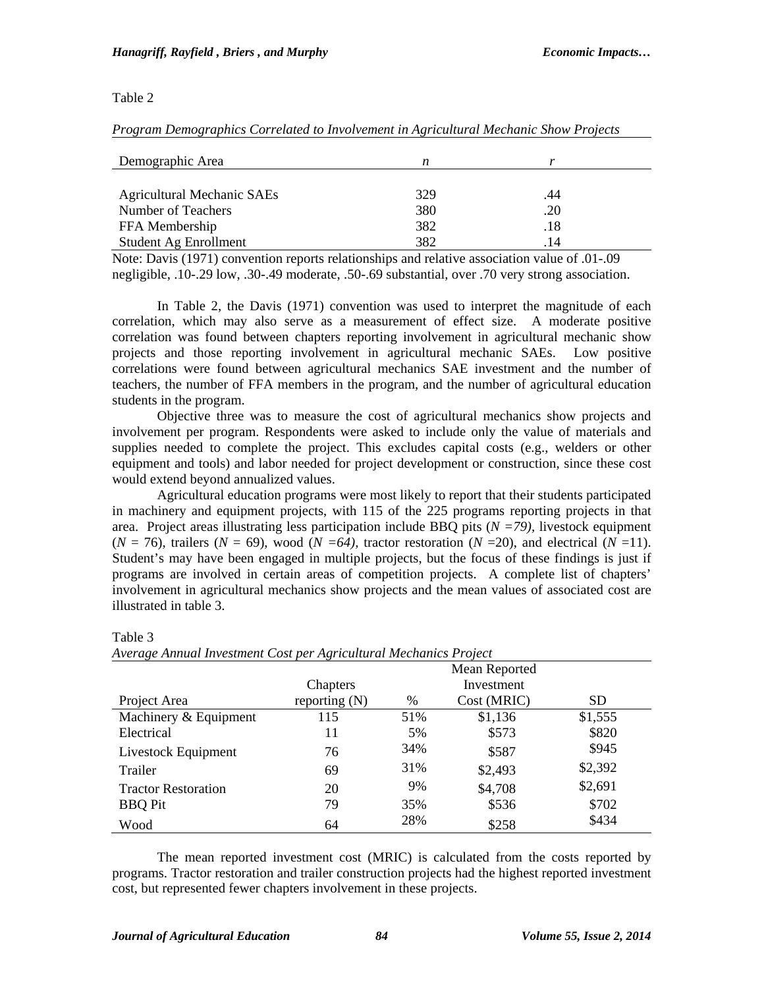#### Table 2

| Demographic Area                  | n   |     |  |
|-----------------------------------|-----|-----|--|
| <b>Agricultural Mechanic SAEs</b> | 329 | .44 |  |
| Number of Teachers                | 380 | .20 |  |
| FFA Membership                    | 382 | .18 |  |
| Student Ag Enrollment             | 382 | 14  |  |

*Program Demographics Correlated to Involvement in Agricultural Mechanic Show Projects* 

Note: Davis (1971) convention reports relationships and relative association value of .01-.09 negligible, .10-.29 low, .30-.49 moderate, .50-.69 substantial, over .70 very strong association.

In Table 2, the Davis (1971) convention was used to interpret the magnitude of each correlation, which may also serve as a measurement of effect size. A moderate positive correlation was found between chapters reporting involvement in agricultural mechanic show projects and those reporting involvement in agricultural mechanic SAEs. Low positive correlations were found between agricultural mechanics SAE investment and the number of teachers, the number of FFA members in the program, and the number of agricultural education students in the program.

Objective three was to measure the cost of agricultural mechanics show projects and involvement per program. Respondents were asked to include only the value of materials and supplies needed to complete the project. This excludes capital costs (e.g., welders or other equipment and tools) and labor needed for project development or construction, since these cost would extend beyond annualized values.

Agricultural education programs were most likely to report that their students participated in machinery and equipment projects, with 115 of the 225 programs reporting projects in that area. Project areas illustrating less participation include BBQ pits (*N =79),* livestock equipment  $(N = 76)$ , trailers  $(N = 69)$ , wood  $(N = 64)$ , tractor restoration  $(N = 20)$ , and electrical  $(N = 11)$ . Student's may have been engaged in multiple projects, but the focus of these findings is just if programs are involved in certain areas of competition projects. A complete list of chapters' involvement in agricultural mechanics show projects and the mean values of associated cost are illustrated in table 3.

|                            |                 | Mean Reported |             |         |  |
|----------------------------|-----------------|---------------|-------------|---------|--|
|                            | Chapters        |               | Investment  |         |  |
| Project Area               | reporting $(N)$ | $\%$          | Cost (MRIC) | SD.     |  |
| Machinery & Equipment      | 115             | 51%           | \$1,136     | \$1,555 |  |
| Electrical                 | 11              | 5%            | \$573       | \$820   |  |
| Livestock Equipment        | 76              | 34%           | \$587       | \$945   |  |
| Trailer                    | 69              | 31%           | \$2,493     | \$2,392 |  |
| <b>Tractor Restoration</b> | 20              | 9%            | \$4,708     | \$2,691 |  |
| <b>BBQ</b> Pit             | 79              | 35%           | \$536       | \$702   |  |
| Wood                       | 64              | 28%           | \$258       | \$434   |  |

Table 3 *Average Annual Investment Cost per Agricultural Mechanics Project*

The mean reported investment cost (MRIC) is calculated from the costs reported by programs. Tractor restoration and trailer construction projects had the highest reported investment cost, but represented fewer chapters involvement in these projects.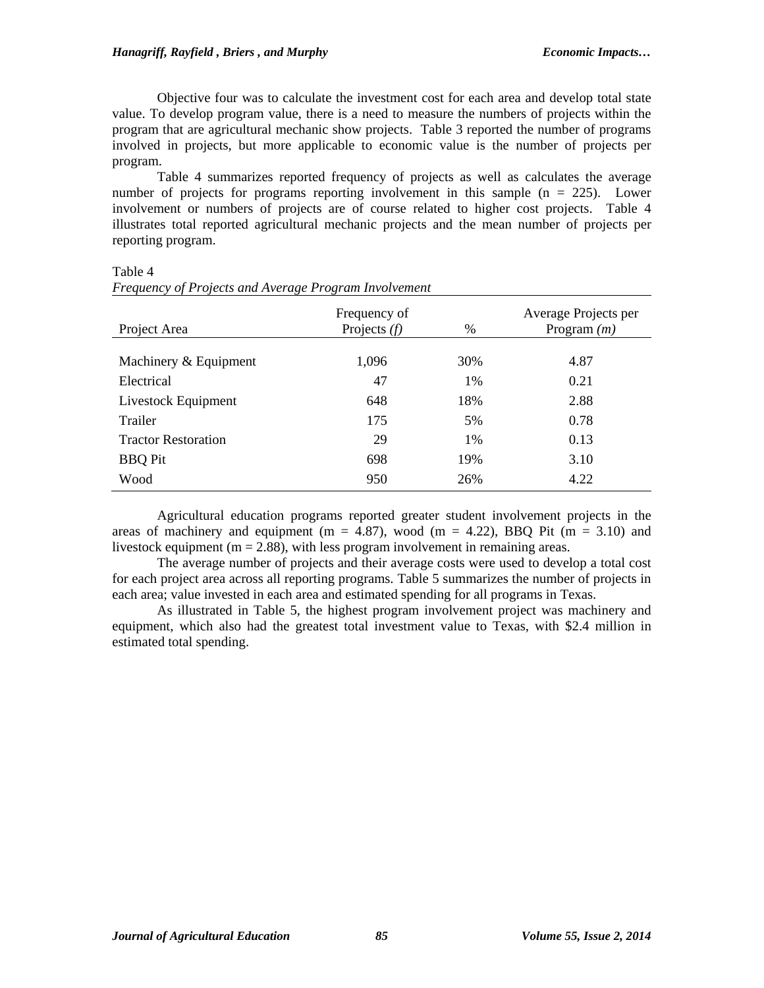Objective four was to calculate the investment cost for each area and develop total state value. To develop program value, there is a need to measure the numbers of projects within the program that are agricultural mechanic show projects. Table 3 reported the number of programs involved in projects, but more applicable to economic value is the number of projects per program.

Table 4 summarizes reported frequency of projects as well as calculates the average number of projects for programs reporting involvement in this sample  $(n = 225)$ . Lower involvement or numbers of projects are of course related to higher cost projects. Table 4 illustrates total reported agricultural mechanic projects and the mean number of projects per reporting program.

| Project Area               | Frequency of<br>Projects $(f)$ | Average Projects per<br>Program $(m)$ |      |  |
|----------------------------|--------------------------------|---------------------------------------|------|--|
|                            |                                |                                       |      |  |
| Machinery & Equipment      | 1,096                          | 30%                                   | 4.87 |  |
| Electrical                 | 47                             | $1\%$                                 | 0.21 |  |
| Livestock Equipment        | 648                            | 18%                                   | 2.88 |  |
| Trailer                    | 175                            | 5%                                    | 0.78 |  |
| <b>Tractor Restoration</b> | 29                             | $1\%$                                 | 0.13 |  |
| <b>BBQ</b> Pit             | 698                            | 19%                                   | 3.10 |  |
| Wood                       | 950                            | 26%                                   | 4.22 |  |

Table 4

|  | Frequency of Projects and Average Program Involvement |  |
|--|-------------------------------------------------------|--|
|  |                                                       |  |

Agricultural education programs reported greater student involvement projects in the areas of machinery and equipment ( $m = 4.87$ ), wood ( $m = 4.22$ ), BBQ Pit ( $m = 3.10$ ) and livestock equipment ( $m = 2.88$ ), with less program involvement in remaining areas.

The average number of projects and their average costs were used to develop a total cost for each project area across all reporting programs. Table 5 summarizes the number of projects in each area; value invested in each area and estimated spending for all programs in Texas.

As illustrated in Table 5, the highest program involvement project was machinery and equipment, which also had the greatest total investment value to Texas, with \$2.4 million in estimated total spending.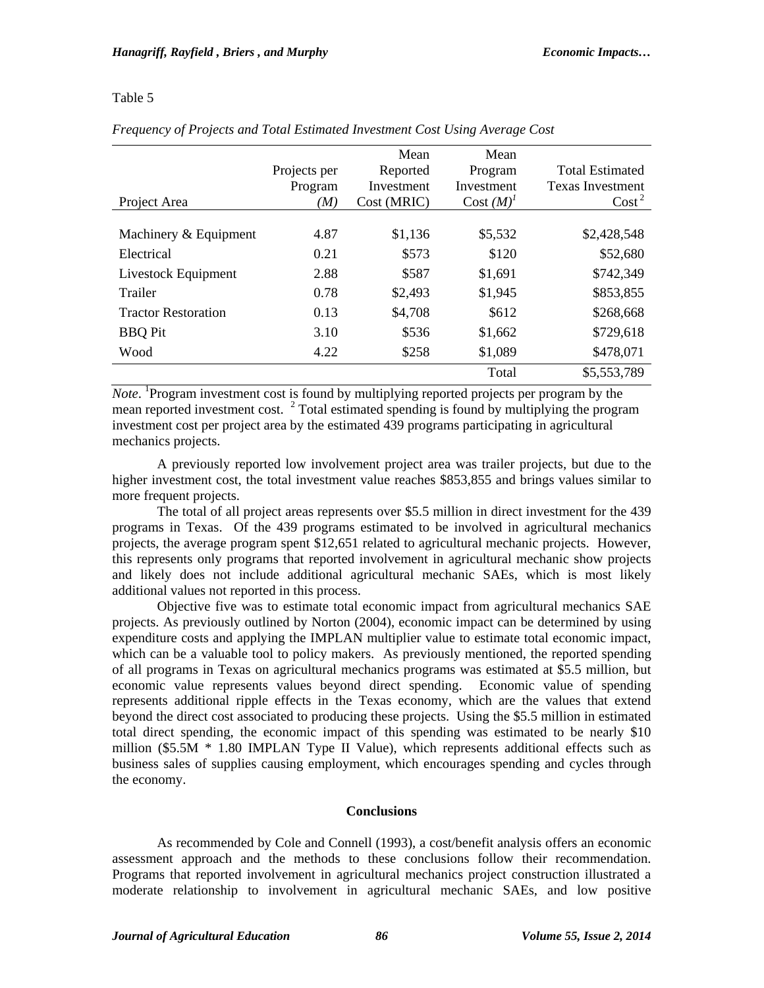# Table 5

|                            |              | Mean        | Mean         |                         |
|----------------------------|--------------|-------------|--------------|-------------------------|
|                            | Projects per | Reported    | Program      | <b>Total Estimated</b>  |
|                            | Program      | Investment  | Investment   | <b>Texas Investment</b> |
| Project Area               | (M)          | Cost (MRIC) | $Cost (M)^T$ | $\text{Cost}^2$         |
|                            |              |             |              |                         |
| Machinery & Equipment      | 4.87         | \$1,136     | \$5,532      | \$2,428,548             |
| Electrical                 | 0.21         | \$573       | \$120        | \$52,680                |
| Livestock Equipment        | 2.88         | \$587       | \$1,691      | \$742,349               |
| Trailer                    | 0.78         | \$2,493     | \$1,945      | \$853,855               |
| <b>Tractor Restoration</b> | 0.13         | \$4,708     | \$612        | \$268,668               |
| <b>BBQ</b> Pit             | 3.10         | \$536       | \$1,662      | \$729,618               |
| Wood                       | 4.22         | \$258       | \$1,089      | \$478,071               |
|                            |              |             | Total        | \$5,553,789             |

# *Frequency of Projects and Total Estimated Investment Cost Using Average Cost*

Note. <sup>1</sup>Program investment cost is found by multiplying reported projects per program by the mean reported investment cost.  $2 \text{ Total estimated spending is found by multiplying the program}$ investment cost per project area by the estimated 439 programs participating in agricultural mechanics projects.

A previously reported low involvement project area was trailer projects, but due to the higher investment cost, the total investment value reaches \$853,855 and brings values similar to more frequent projects.

The total of all project areas represents over \$5.5 million in direct investment for the 439 programs in Texas. Of the 439 programs estimated to be involved in agricultural mechanics projects, the average program spent \$12,651 related to agricultural mechanic projects. However, this represents only programs that reported involvement in agricultural mechanic show projects and likely does not include additional agricultural mechanic SAEs, which is most likely additional values not reported in this process.

Objective five was to estimate total economic impact from agricultural mechanics SAE projects. As previously outlined by Norton (2004), economic impact can be determined by using expenditure costs and applying the IMPLAN multiplier value to estimate total economic impact, which can be a valuable tool to policy makers. As previously mentioned, the reported spending of all programs in Texas on agricultural mechanics programs was estimated at \$5.5 million, but economic value represents values beyond direct spending. Economic value of spending represents additional ripple effects in the Texas economy, which are the values that extend beyond the direct cost associated to producing these projects. Using the \$5.5 million in estimated total direct spending, the economic impact of this spending was estimated to be nearly \$10 million  $(\$5.5M * 1.80$  IMPLAN Type II Value), which represents additional effects such as business sales of supplies causing employment, which encourages spending and cycles through the economy.

# **Conclusions**

As recommended by Cole and Connell (1993), a cost/benefit analysis offers an economic assessment approach and the methods to these conclusions follow their recommendation. Programs that reported involvement in agricultural mechanics project construction illustrated a moderate relationship to involvement in agricultural mechanic SAEs, and low positive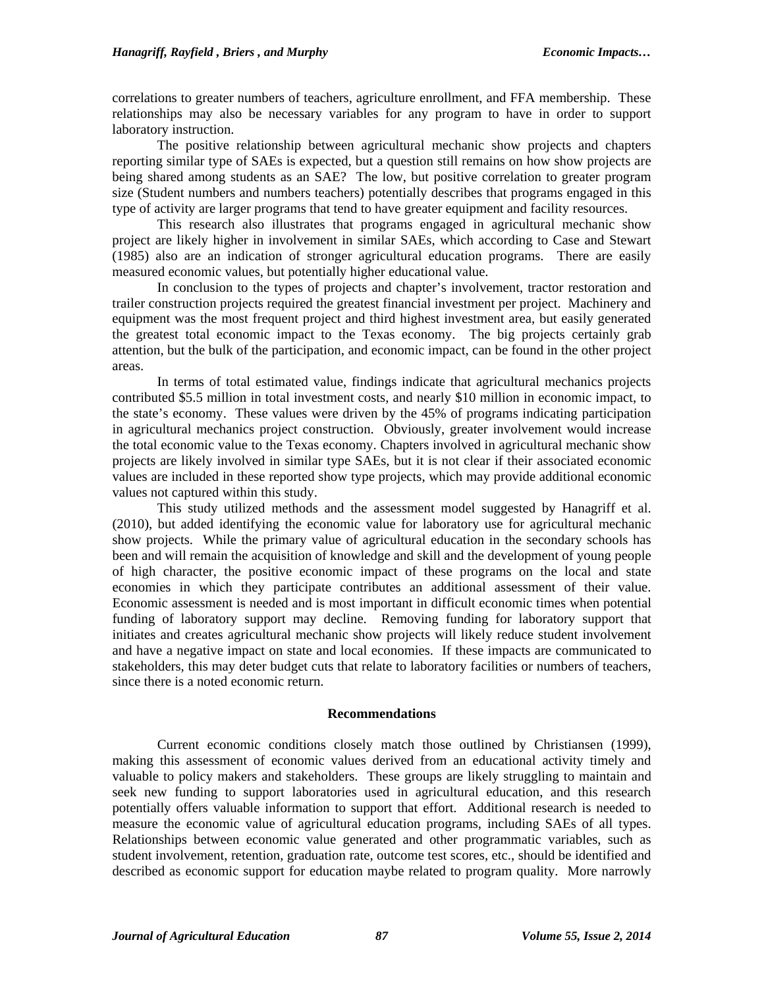correlations to greater numbers of teachers, agriculture enrollment, and FFA membership. These relationships may also be necessary variables for any program to have in order to support laboratory instruction.

The positive relationship between agricultural mechanic show projects and chapters reporting similar type of SAEs is expected, but a question still remains on how show projects are being shared among students as an SAE? The low, but positive correlation to greater program size (Student numbers and numbers teachers) potentially describes that programs engaged in this type of activity are larger programs that tend to have greater equipment and facility resources.

This research also illustrates that programs engaged in agricultural mechanic show project are likely higher in involvement in similar SAEs, which according to Case and Stewart (1985) also are an indication of stronger agricultural education programs. There are easily measured economic values, but potentially higher educational value.

In conclusion to the types of projects and chapter's involvement, tractor restoration and trailer construction projects required the greatest financial investment per project. Machinery and equipment was the most frequent project and third highest investment area, but easily generated the greatest total economic impact to the Texas economy. The big projects certainly grab attention, but the bulk of the participation, and economic impact, can be found in the other project areas.

In terms of total estimated value, findings indicate that agricultural mechanics projects contributed \$5.5 million in total investment costs, and nearly \$10 million in economic impact, to the state's economy. These values were driven by the 45% of programs indicating participation in agricultural mechanics project construction. Obviously, greater involvement would increase the total economic value to the Texas economy. Chapters involved in agricultural mechanic show projects are likely involved in similar type SAEs, but it is not clear if their associated economic values are included in these reported show type projects, which may provide additional economic values not captured within this study.

This study utilized methods and the assessment model suggested by Hanagriff et al. (2010), but added identifying the economic value for laboratory use for agricultural mechanic show projects. While the primary value of agricultural education in the secondary schools has been and will remain the acquisition of knowledge and skill and the development of young people of high character, the positive economic impact of these programs on the local and state economies in which they participate contributes an additional assessment of their value. Economic assessment is needed and is most important in difficult economic times when potential funding of laboratory support may decline. Removing funding for laboratory support that initiates and creates agricultural mechanic show projects will likely reduce student involvement and have a negative impact on state and local economies. If these impacts are communicated to stakeholders, this may deter budget cuts that relate to laboratory facilities or numbers of teachers, since there is a noted economic return.

#### **Recommendations**

Current economic conditions closely match those outlined by Christiansen (1999), making this assessment of economic values derived from an educational activity timely and valuable to policy makers and stakeholders. These groups are likely struggling to maintain and seek new funding to support laboratories used in agricultural education, and this research potentially offers valuable information to support that effort. Additional research is needed to measure the economic value of agricultural education programs, including SAEs of all types. Relationships between economic value generated and other programmatic variables, such as student involvement, retention, graduation rate, outcome test scores, etc., should be identified and described as economic support for education maybe related to program quality. More narrowly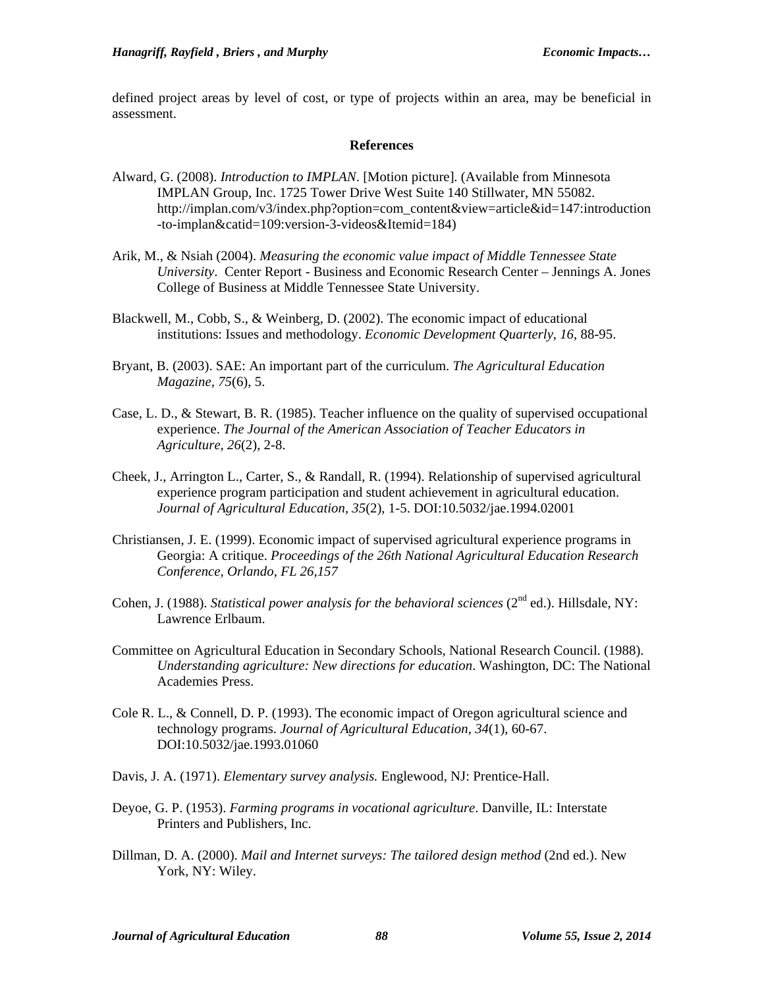defined project areas by level of cost, or type of projects within an area, may be beneficial in assessment.

#### **References**

- Alward, G. (2008). *Introduction to IMPLAN*. [Motion picture]. (Available from Minnesota IMPLAN Group, Inc. 1725 Tower Drive West Suite 140 Stillwater, MN 55082. http://implan.com/v3/index.php?option=com\_content&view=article&id=147:introduction -to-implan&catid=109:version-3-videos&Itemid=184)
- Arik, M., & Nsiah (2004). *Measuring the economic value impact of Middle Tennessee State University*. Center Report - Business and Economic Research Center – Jennings A. Jones College of Business at Middle Tennessee State University.
- Blackwell, M., Cobb, S., & Weinberg, D. (2002). The economic impact of educational institutions: Issues and methodology. *Economic Development Quarterly*, *16*, 88-95.
- Bryant, B. (2003). SAE: An important part of the curriculum. *The Agricultural Education Magazine, 75*(6), 5.
- Case, L. D., & Stewart, B. R. (1985). Teacher influence on the quality of supervised occupational experience. *The Journal of the American Association of Teacher Educators in Agriculture*, *26*(2), 2-8.
- Cheek, J., Arrington L., Carter, S., & Randall, R. (1994). Relationship of supervised agricultural experience program participation and student achievement in agricultural education. *Journal of Agricultural Education, 35*(2), 1-5. DOI:10.5032/jae.1994.02001
- Christiansen, J. E. (1999). Economic impact of supervised agricultural experience programs in Georgia: A critique. *Proceedings of the 26th National Agricultural Education Research Conference, Orlando, FL 26,157*
- Cohen, J. (1988). *Statistical power analysis for the behavioral sciences* (2<sup>nd</sup> ed.). Hillsdale, NY: Lawrence Erlbaum.
- Committee on Agricultural Education in Secondary Schools, National Research Council. (1988). *Understanding agriculture: New directions for education*. Washington, DC: The National Academies Press.
- Cole R. L., & Connell, D. P. (1993). The economic impact of Oregon agricultural science and technology programs. *Journal of Agricultural Education, 34*(1), 60-67. DOI:10.5032/jae.1993.01060
- Davis, J. A. (1971). *Elementary survey analysis.* Englewood, NJ: Prentice-Hall.
- Deyoe, G. P. (1953). *Farming programs in vocational agriculture*. Danville, IL: Interstate Printers and Publishers, Inc.
- Dillman, D. A. (2000). *Mail and Internet surveys: The tailored design method* (2nd ed.). New York, NY: Wiley.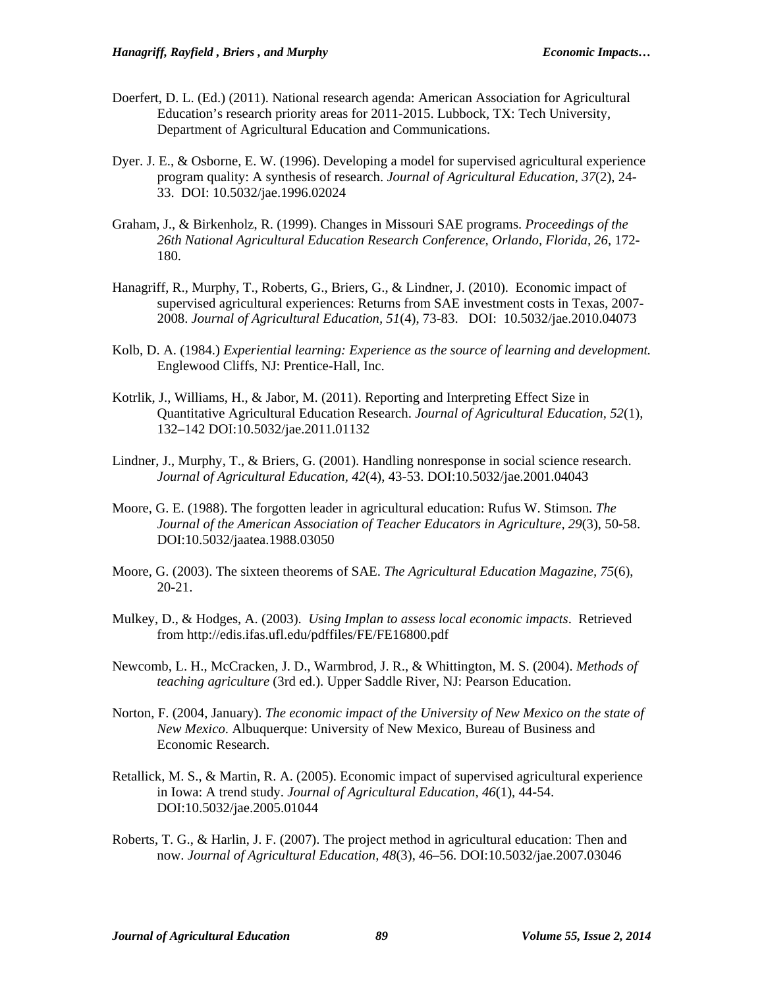- Doerfert, D. L. (Ed.) (2011). National research agenda: American Association for Agricultural Education's research priority areas for 2011-2015. Lubbock, TX: Tech University, Department of Agricultural Education and Communications.
- Dyer. J. E., & Osborne, E. W. (1996). Developing a model for supervised agricultural experience program quality: A synthesis of research. *Journal of Agricultural Education, 37*(2), 24- 33. DOI: 10.5032/jae.1996.02024
- Graham, J., & Birkenholz, R. (1999). Changes in Missouri SAE programs. *Proceedings of the 26th National Agricultural Education Research Conference, Orlando, Florida, 26*, 172- 180.
- Hanagriff, R., Murphy, T., Roberts, G., Briers, G., & Lindner, J. (2010). Economic impact of supervised agricultural experiences: Returns from SAE investment costs in Texas, 2007- 2008. *Journal of Agricultural Education, 51*(4), 73-83. DOI: 10.5032/jae.2010.04073
- Kolb, D. A. (1984.) *Experiential learning: Experience as the source of learning and development.* Englewood Cliffs, NJ: Prentice-Hall, Inc.
- Kotrlik, J., Williams, H., & Jabor, M. (2011). Reporting and Interpreting Effect Size in Quantitative Agricultural Education Research. *Journal of Agricultural Education, 52*(1), 132–142 DOI:10.5032/jae.2011.01132
- Lindner, J., Murphy, T., & Briers, G. (2001). Handling nonresponse in social science research. *Journal of Agricultural Education, 42*(4), 43-53. DOI:10.5032/jae.2001.04043
- Moore, G. E. (1988). The forgotten leader in agricultural education: Rufus W. Stimson. *The Journal of the American Association of Teacher Educators in Agriculture, 29*(3), 50-58. DOI:10.5032/jaatea.1988.03050
- Moore, G. (2003). The sixteen theorems of SAE. *The Agricultural Education Magazine, 75*(6), 20-21.
- Mulkey, D., & Hodges, A. (2003). *Using Implan to assess local economic impacts*. Retrieved from http://edis.ifas.ufl.edu/pdffiles/FE/FE16800.pdf
- Newcomb, L. H., McCracken, J. D., Warmbrod, J. R., & Whittington, M. S. (2004). *Methods of teaching agriculture* (3rd ed.). Upper Saddle River, NJ: Pearson Education.
- Norton, F. (2004, January). *The economic impact of the University of New Mexico on the state of New Mexico*. Albuquerque: University of New Mexico, Bureau of Business and Economic Research.
- Retallick, M. S., & Martin, R. A. (2005). Economic impact of supervised agricultural experience in Iowa: A trend study. *Journal of Agricultural Education, 46*(1), 44-54. DOI:10.5032/jae.2005.01044
- Roberts, T. G., & Harlin, J. F. (2007). The project method in agricultural education: Then and now. *Journal of Agricultural Education, 48*(3), 46–56. DOI:10.5032/jae.2007.03046